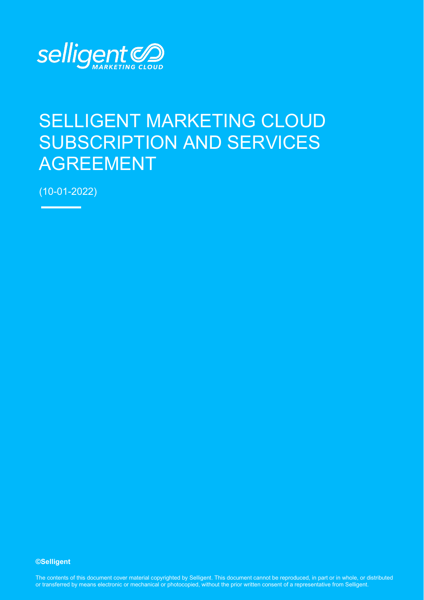

# SELLIGENT MARKETING CLOUD SUBSCRIPTION AND SERVICES AGREEMENT

(10-01-2022)

**©Selligent** 

The contents of this document cover material copyrighted by Selligent. This document cannot be reproduced, in part or in whole, or distributed or transferred by means electronic or mechanical or photocopied, without the prior written consent of a representative from Selligent.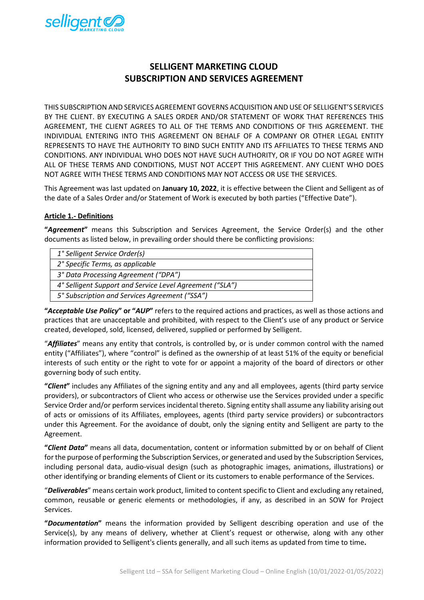

# **SELLIGENT MARKETING CLOUD SUBSCRIPTION AND SERVICES AGREEMENT**

THIS SUBSCRIPTION AND SERVICES AGREEMENT GOVERNS ACQUISITION AND USE OF SELLIGENT'S SERVICES BY THE CLIENT. BY EXECUTING A SALES ORDER AND/OR STATEMENT OF WORK THAT REFERENCES THIS AGREEMENT, THE CLIENT AGREES TO ALL OF THE TERMS AND CONDITIONS OF THIS AGREEMENT. THE INDIVIDUAL ENTERING INTO THIS AGREEMENT ON BEHALF OF A COMPANY OR OTHER LEGAL ENTITY REPRESENTS TO HAVE THE AUTHORITY TO BIND SUCH ENTITY AND ITS AFFILIATES TO THESE TERMS AND CONDITIONS. ANY INDIVIDUAL WHO DOES NOT HAVE SUCH AUTHORITY, OR IF YOU DO NOT AGREE WITH ALL OF THESE TERMS AND CONDITIONS, MUST NOT ACCEPT THIS AGREEMENT. ANY CLIENT WHO DOES NOT AGREE WITH THESE TERMS AND CONDITIONS MAY NOT ACCESS OR USE THE SERVICES.

This Agreement was last updated on **January 10, 2022**, it is effective between the Client and Selligent as of the date of a Sales Order and/or Statement of Work is executed by both parties ("Effective Date").

#### **Article 1.- Definitions**

**"***Agreement***"** means this Subscription and Services Agreement, the Service Order(s) and the other documents as listed below, in prevailing order should there be conflicting provisions:

| 1° Selligent Service Order(s)                            |
|----------------------------------------------------------|
| 2° Specific Terms, as applicable                         |
| 3° Data Processing Agreement ("DPA")                     |
| 4° Selligent Support and Service Level Agreement ("SLA") |
| 5° Subscription and Services Agreement ("SSA")           |
|                                                          |

**"***Acceptable Use Policy***" or "***AUP***"** refers to the required actions and practices, as well as those actions and practices that are unacceptable and prohibited, with respect to the Client's use of any product or Service created, developed, sold, licensed, delivered, supplied or performed by Selligent.

"*Affiliates*" means any entity that controls, is controlled by, or is under common control with the named entity ("Affiliates"), where "control" is defined as the ownership of at least 51% of the equity or beneficial interests of such entity or the right to vote for or appoint a majority of the board of directors or other governing body of such entity.

**"***Client***"** includes any Affiliates of the signing entity and any and all employees, agents (third party service providers), or subcontractors of Client who access or otherwise use the Services provided under a specific Service Order and/or perform services incidental thereto. Signing entity shall assume any liability arising out of acts or omissions of its Affiliates, employees, agents (third party service providers) or subcontractors under this Agreement. For the avoidance of doubt, only the signing entity and Selligent are party to the Agreement.

**"***Client Data***"** means all data, documentation, content or information submitted by or on behalf of Client forthe purpose of performing the Subscription Services, or generated and used by the Subscription Services, including personal data, audio-visual design (such as photographic images, animations, illustrations) or other identifying or branding elements of Client or its customers to enable performance of the Services.

"*Deliverables*" means certain work product, limited to content specific to Client and excluding any retained, common, reusable or generic elements or methodologies, if any, as described in an SOW for Project Services.

**"***Documentation***"** means the information provided by Selligent describing operation and use of the Service(s), by any means of delivery, whether at Client's request or otherwise, along with any other information provided to Selligent's clients generally, and all such items as updated from time to time**.**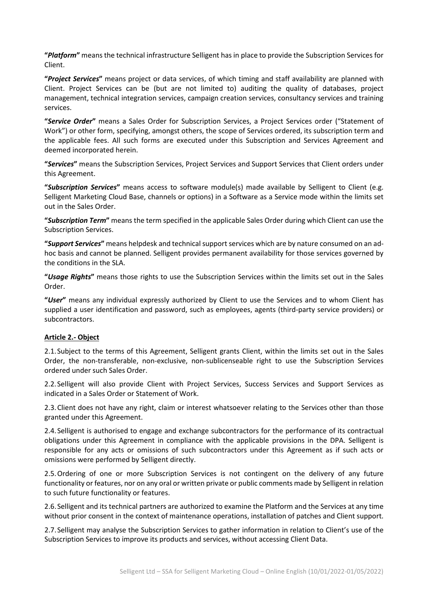**"***Platform***"** means the technical infrastructure Selligent has in place to provide the Subscription Services for Client.

**"***Project Services***"** means project or data services, of which timing and staff availability are planned with Client. Project Services can be (but are not limited to) auditing the quality of databases, project management, technical integration services, campaign creation services, consultancy services and training services.

**"***Service Order***"** means a Sales Order for Subscription Services, a Project Services order ("Statement of Work") or other form, specifying, amongst others, the scope of Services ordered, its subscription term and the applicable fees. All such forms are executed under this Subscription and Services Agreement and deemed incorporated herein.

**"***Services***"** means the Subscription Services, Project Services and Support Services that Client orders under this Agreement.

**"***Subscription Services***"** means access to software module(s) made available by Selligent to Client (e.g. Selligent Marketing Cloud Base, channels or options) in a Software as a Service mode within the limits set out in the Sales Order.

**"***Subscription Term***"** means the term specified in the applicable Sales Order during which Client can use the Subscription Services.

**"***Support Services***"** means helpdesk and technical support services which are by nature consumed on an adhoc basis and cannot be planned. Selligent provides permanent availability for those services governed by the conditions in the SLA.

**"***Usage Rights***"** means those rights to use the Subscription Services within the limits set out in the Sales Order.

**"***User***"** means any individual expressly authorized by Client to use the Services and to whom Client has supplied a user identification and password, such as employees, agents (third-party service providers) or subcontractors.

#### **Article 2.- Object**

2.1.Subject to the terms of this Agreement, Selligent grants Client, within the limits set out in the Sales Order, the non-transferable, non-exclusive, non-sublicenseable right to use the Subscription Services ordered under such Sales Order.

2.2.Selligent will also provide Client with Project Services, Success Services and Support Services as indicated in a Sales Order or Statement of Work.

2.3.Client does not have any right, claim or interest whatsoever relating to the Services other than those granted under this Agreement.

2.4.Selligent is authorised to engage and exchange subcontractors for the performance of its contractual obligations under this Agreement in compliance with the applicable provisions in the DPA. Selligent is responsible for any acts or omissions of such subcontractors under this Agreement as if such acts or omissions were performed by Selligent directly.

2.5.Ordering of one or more Subscription Services is not contingent on the delivery of any future functionality or features, nor on any oral or written private or public comments made by Selligent in relation to such future functionality or features.

2.6.Selligent and its technical partners are authorized to examine the Platform and the Services at any time without prior consent in the context of maintenance operations, installation of patches and Client support.

2.7.Selligent may analyse the Subscription Services to gather information in relation to Client's use of the Subscription Services to improve its products and services, without accessing Client Data.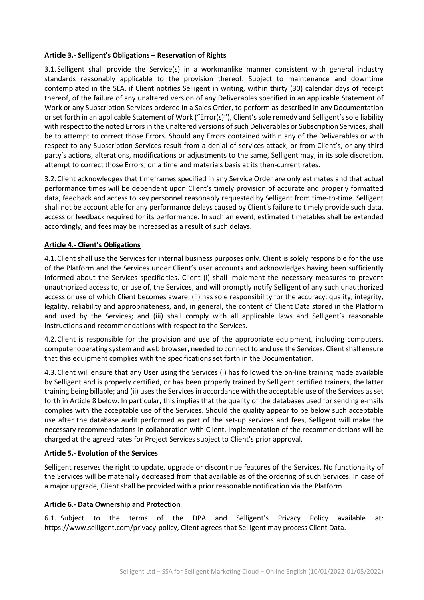#### **Article 3.- Selligent's Obligations – Reservation of Rights**

3.1.Selligent shall provide the Service(s) in a workmanlike manner consistent with general industry standards reasonably applicable to the provision thereof. Subject to maintenance and downtime contemplated in the SLA, if Client notifies Selligent in writing, within thirty (30) calendar days of receipt thereof, of the failure of any unaltered version of any Deliverables specified in an applicable Statement of Work or any Subscription Services ordered in a Sales Order, to perform as described in any Documentation or set forth in an applicable Statement of Work ("Error(s)"), Client's sole remedy and Selligent's sole liability with respect to the noted Errors in the unaltered versions of such Deliverables or Subscription Services, shall be to attempt to correct those Errors. Should any Errors contained within any of the Deliverables or with respect to any Subscription Services result from a denial of services attack, or from Client's, or any third party's actions, alterations, modifications or adjustments to the same, Selligent may, in its sole discretion, attempt to correct those Errors, on a time and materials basis at its then-current rates.

3.2.Client acknowledges that timeframes specified in any Service Order are only estimates and that actual performance times will be dependent upon Client's timely provision of accurate and properly formatted data, feedback and access to key personnel reasonably requested by Selligent from time-to-time. Selligent shall not be account able for any performance delays caused by Client's failure to timely provide such data, access or feedback required for its performance. In such an event, estimated timetables shall be extended accordingly, and fees may be increased as a result of such delays.

#### **Article 4.- Client's Obligations**

4.1.Client shall use the Services for internal business purposes only. Client is solely responsible for the use of the Platform and the Services under Client's user accounts and acknowledges having been sufficiently informed about the Services specificities. Client (i) shall implement the necessary measures to prevent unauthorized access to, or use of, the Services, and will promptly notify Selligent of any such unauthorized access or use of which Client becomes aware; (ii) has sole responsibility for the accuracy, quality, integrity, legality, reliability and appropriateness, and, in general, the content of Client Data stored in the Platform and used by the Services; and (iii) shall comply with all applicable laws and Selligent's reasonable instructions and recommendations with respect to the Services.

4.2.Client is responsible for the provision and use of the appropriate equipment, including computers, computer operating system and web browser, needed to connect to and use the Services. Client shall ensure that this equipment complies with the specifications set forth in the Documentation.

4.3.Client will ensure that any User using the Services (i) has followed the on-line training made available by Selligent and is properly certified, or has been properly trained by Selligent certified trainers, the latter training being billable; and (ii) uses the Services in accordance with the acceptable use of the Services as set forth in Article 8 below. In particular, this implies that the quality of the databases used for sending e-mails complies with the acceptable use of the Services. Should the quality appear to be below such acceptable use after the database audit performed as part of the set-up services and fees, Selligent will make the necessary recommendations in collaboration with Client. Implementation of the recommendations will be charged at the agreed rates for Project Services subject to Client's prior approval.

#### **Article 5.- Evolution of the Services**

Selligent reserves the right to update, upgrade or discontinue features of the Services. No functionality of the Services will be materially decreased from that available as of the ordering of such Services. In case of a major upgrade, Client shall be provided with a prior reasonable notification via the Platform.

#### **Article 6.- Data Ownership and Protection**

6.1. Subject to the terms of the DPA and Selligent's Privacy Policy available at: [https://www.selligent.com/privacy-policy,](https://www.selligent.com/privacy-policy) Client agrees that Selligent may process Client Data.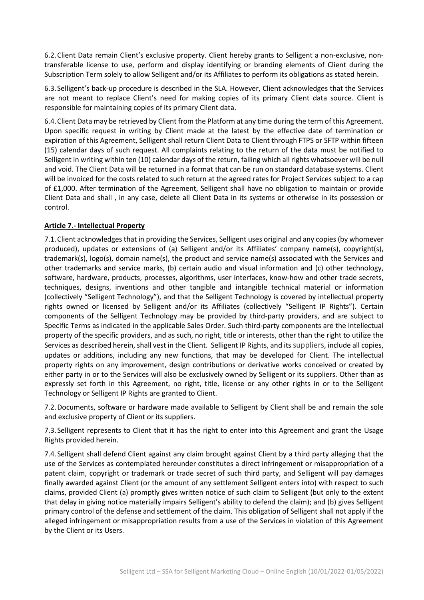6.2.Client Data remain Client's exclusive property. Client hereby grants to Selligent a non-exclusive, nontransferable license to use, perform and display identifying or branding elements of Client during the Subscription Term solely to allow Selligent and/or its Affiliates to perform its obligations as stated herein.

6.3.Selligent's back-up procedure is described in the SLA. However, Client acknowledges that the Services are not meant to replace Client's need for making copies of its primary Client data source. Client is responsible for maintaining copies of its primary Client data.

6.4.Client Data may be retrieved by Client from the Platform at any time during the term of this Agreement. Upon specific request in writing by Client made at the latest by the effective date of termination or expiration of this Agreement, Selligent shall return Client Data to Client through FTPS or SFTP within fifteen (15) calendar days of such request. All complaints relating to the return of the data must be notified to Selligent in writing within ten (10) calendar days of the return, failing which all rights whatsoever will be null and void. The Client Data will be returned in a format that can be run on standard database systems. Client will be invoiced for the costs related to such return at the agreed rates for Project Services subject to a cap of £1,000. After termination of the Agreement, Selligent shall have no obligation to maintain or provide Client Data and shall , in any case, delete all Client Data in its systems or otherwise in its possession or control.

#### **Article 7.- Intellectual Property**

7.1.Client acknowledges that in providing the Services, Selligent uses original and any copies (by whomever produced), updates or extensions of (a) Selligent and/or its Affiliates' company name(s), copyright(s), trademark(s), logo(s), domain name(s), the product and service name(s) associated with the Services and other trademarks and service marks, (b) certain audio and visual information and (c) other technology, software, hardware, products, processes, algorithms, user interfaces, know-how and other trade secrets, techniques, designs, inventions and other tangible and intangible technical material or information (collectively "Selligent Technology"), and that the Selligent Technology is covered by intellectual property rights owned or licensed by Selligent and/or its Affiliates (collectively "Selligent IP Rights"). Certain components of the Selligent Technology may be provided by third-party providers, and are subject to Specific Terms as indicated in the applicable Sales Order. Such third-party components are the intellectual property of the specific providers, and as such, no right, title or interests, other than the right to utilize the Services as described herein, shall vest in the Client. Selligent IP Rights, and its suppliers, include all copies, updates or additions, including any new functions, that may be developed for Client. The intellectual property rights on any improvement, design contributions or derivative works conceived or created by either party in or to the Services will also be exclusively owned by Selligent or its suppliers. Other than as expressly set forth in this Agreement, no right, title, license or any other rights in or to the Selligent Technology or Selligent IP Rights are granted to Client.

7.2.Documents, software or hardware made available to Selligent by Client shall be and remain the sole and exclusive property of Client or its suppliers.

7.3.Selligent represents to Client that it has the right to enter into this Agreement and grant the Usage Rights provided herein.

7.4.Selligent shall defend Client against any claim brought against Client by a third party alleging that the use of the Services as contemplated hereunder constitutes a direct infringement or misappropriation of a patent claim, copyright or trademark or trade secret of such third party, and Selligent will pay damages finally awarded against Client (or the amount of any settlement Selligent enters into) with respect to such claims, provided Client (a) promptly gives written notice of such claim to Selligent (but only to the extent that delay in giving notice materially impairs Selligent's ability to defend the claim); and (b) gives Selligent primary control of the defense and settlement of the claim. This obligation of Selligent shall not apply if the alleged infringement or misappropriation results from a use of the Services in violation of this Agreement by the Client or its Users.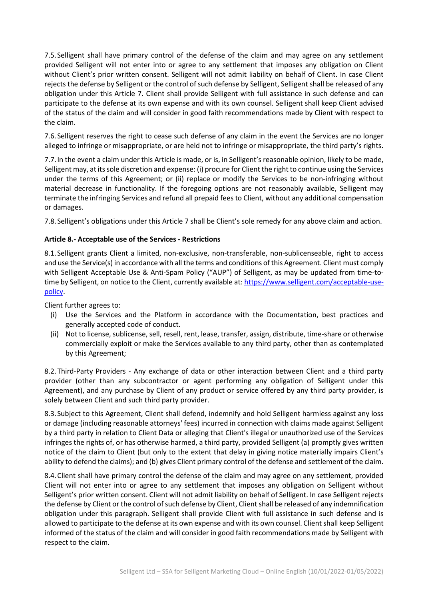7.5.Selligent shall have primary control of the defense of the claim and may agree on any settlement provided Selligent will not enter into or agree to any settlement that imposes any obligation on Client without Client's prior written consent. Selligent will not admit liability on behalf of Client. In case Client rejects the defense by Selligent or the control of such defense by Selligent, Selligent shall be released of any obligation under this Article 7. Client shall provide Selligent with full assistance in such defense and can participate to the defense at its own expense and with its own counsel. Selligent shall keep Client advised of the status of the claim and will consider in good faith recommendations made by Client with respect to the claim.

7.6.Selligent reserves the right to cease such defense of any claim in the event the Services are no longer alleged to infringe or misappropriate, or are held not to infringe or misappropriate, the third party's rights.

7.7.In the event a claim under this Article is made, or is, in Selligent's reasonable opinion, likely to be made, Selligent may, at its sole discretion and expense: (i) procure for Client the right to continue using the Services under the terms of this Agreement; or (ii) replace or modify the Services to be non-infringing without material decrease in functionality. If the foregoing options are not reasonably available, Selligent may terminate the infringing Services and refund all prepaid fees to Client, without any additional compensation or damages.

7.8.Selligent's obligations under this Article 7 shall be Client's sole remedy for any above claim and action.

#### **Article 8.- Acceptable use of the Services - Restrictions**

8.1.Selligent grants Client a limited, non-exclusive, non-transferable, non-sublicenseable, right to access and use the Service(s) in accordance with all the terms and conditions of this Agreement. Client must comply with Selligent Acceptable Use & Anti-Spam Policy ("AUP") of Selligent, as may be updated from time-totime by Selligent, on notice to the Client, currently available at: [https://www.selligent.com/acceptable-use](http://www.selligent.com/acceptable-use-policy)[policy.](http://www.selligent.com/acceptable-use-policy)

Client further agrees to:

- (i) Use the Services and the Platform in accordance with the Documentation, best practices and generally accepted code of conduct.
- (ii) Not to license, sublicense, sell, resell, rent, lease, transfer, assign, distribute, time-share or otherwise commercially exploit or make the Services available to any third party, other than as contemplated by this Agreement;

8.2.Third-Party Providers - Any exchange of data or other interaction between Client and a third party provider (other than any subcontractor or agent performing any obligation of Selligent under this Agreement), and any purchase by Client of any product or service offered by any third party provider, is solely between Client and such third party provider.

8.3.Subject to this Agreement, Client shall defend, indemnify and hold Selligent harmless against any loss or damage (including reasonable attorneys' fees) incurred in connection with claims made against Selligent by a third party in relation to Client Data or alleging that Client's illegal or unauthorized use of the Services infringes the rights of, or has otherwise harmed, a third party, provided Selligent (a) promptly gives written notice of the claim to Client (but only to the extent that delay in giving notice materially impairs Client's ability to defend the claims); and (b) gives Client primary control of the defense and settlement of the claim.

8.4.Client shall have primary control the defense of the claim and may agree on any settlement, provided Client will not enter into or agree to any settlement that imposes any obligation on Selligent without Selligent's prior written consent. Client will not admit liability on behalf of Selligent. In case Selligent rejects the defense by Client or the control of such defense by Client, Client shall be released of any indemnification obligation under this paragraph. Selligent shall provide Client with full assistance in such defense and is allowed to participate to the defense at its own expense and with its own counsel. Client shall keep Selligent informed of the status of the claim and will consider in good faith recommendations made by Selligent with respect to the claim.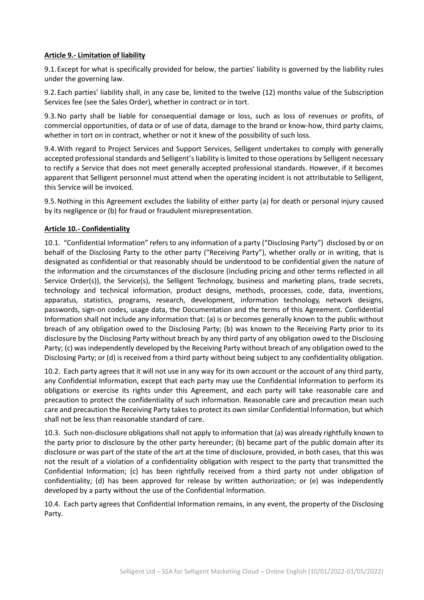#### **Article 9.- Limitation of liability**

9.1.Except for what is specifically provided for below, the parties' liability is governed by the liability rules under the governing law.

9.2.Each parties' liability shall, in any case be, limited to the twelve (12) months value of the Subscription Services fee (see the Sales Order), whether in contract or in tort.

9.3.No party shall be liable for consequential damage or loss, such as loss of revenues or profits, of commercial opportunities, of data or of use of data, damage to the brand or know-how, third party claims, whether in tort on in contract, whether or not it knew of the possibility of such loss.

9.4.With regard to Project Services and Support Services, Selligent undertakes to comply with generally accepted professional standards and Selligent's liability is limited to those operations by Selligent necessary to rectify a Service that does not meet generally accepted professional standards. However, if it becomes apparent that Selligent personnel must attend when the operating incident is not attributable to Selligent, this Service will be invoiced.

9.5.Nothing in this Agreement excludes the liability of either party (a) for death or personal injury caused by its negligence or (b) for fraud or fraudulent misrepresentation.

#### **Article 10.- Confidentiality**

10.1. "Confidential Information" refers to any information of a party ("Disclosing Party") disclosed by or on behalf of the Disclosing Party to the other party ("Receiving Party"), whether orally or in writing, that is designated as confidential or that reasonably should be understood to be confidential given the nature of the information and the circumstances of the disclosure (including pricing and other terms reflected in all Service Order(s)), the Service(s), the Selligent Technology, business and marketing plans, trade secrets, technology and technical information, product designs, methods, processes, code, data, inventions, apparatus, statistics, programs, research, development, information technology, network designs, passwords, sign-on codes, usage data, the Documentation and the terms of this Agreement. Confidential Information shall not include any information that: (a) is or becomes generally known to the public without breach of any obligation owed to the Disclosing Party; (b) was known to the Receiving Party prior to its disclosure by the Disclosing Party without breach by any third party of any obligation owed to the Disclosing Party; (c) was independently developed by the Receiving Party without breach of any obligation owed to the Disclosing Party; or (d) is received from a third party without being subject to any confidentiality obligation.

10.2. Each party agrees that it will not use in any way for its own account or the account of any third party, any Confidential Information, except that each party may use the Confidential Information to perform its obligations or exercise its rights under this Agreement, and each party will take reasonable care and precaution to protect the confidentiality of such information. Reasonable care and precaution mean such care and precaution the Receiving Party takes to protect its own similar Confidential Information, but which shall not be less than reasonable standard of care.

10.3. Such non-disclosure obligations shall not apply to information that (a) was already rightfully known to the party prior to disclosure by the other party hereunder; (b) became part of the public domain after its disclosure or was part of the state of the art at the time of disclosure, provided, in both cases, that this was not the result of a violation of a confidentiality obligation with respect to the party that transmitted the Confidential Information; (c) has been rightfully received from a third party not under obligation of confidentiality; (d) has been approved for release by written authorization; or (e) was independently developed by a party without the use of the Confidential Information.

10.4. Each party agrees that Confidential Information remains, in any event, the property of the Disclosing Party.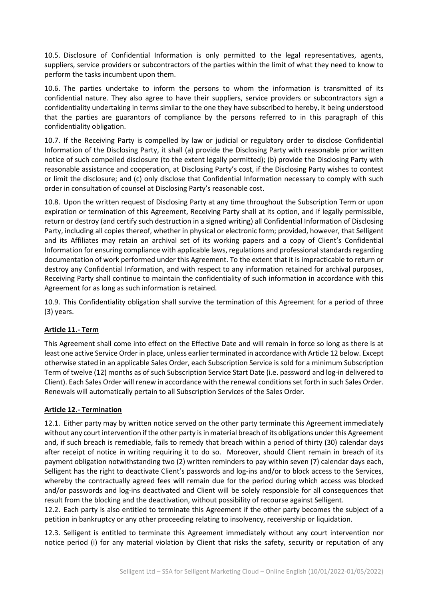10.5. Disclosure of Confidential Information is only permitted to the legal representatives, agents, suppliers, service providers or subcontractors of the parties within the limit of what they need to know to perform the tasks incumbent upon them.

10.6. The parties undertake to inform the persons to whom the information is transmitted of its confidential nature. They also agree to have their suppliers, service providers or subcontractors sign a confidentiality undertaking in terms similar to the one they have subscribed to hereby, it being understood that the parties are guarantors of compliance by the persons referred to in this paragraph of this confidentiality obligation.

10.7. If the Receiving Party is compelled by law or judicial or regulatory order to disclose Confidential Information of the Disclosing Party, it shall (a) provide the Disclosing Party with reasonable prior written notice of such compelled disclosure (to the extent legally permitted); (b) provide the Disclosing Party with reasonable assistance and cooperation, at Disclosing Party's cost, if the Disclosing Party wishes to contest or limit the disclosure; and (c) only disclose that Confidential Information necessary to comply with such order in consultation of counsel at Disclosing Party's reasonable cost.

10.8. Upon the written request of Disclosing Party at any time throughout the Subscription Term or upon expiration or termination of this Agreement, Receiving Party shall at its option, and if legally permissible, return or destroy (and certify such destruction in a signed writing) all Confidential Information of Disclosing Party, including all copies thereof, whether in physical or electronic form; provided, however, that Selligent and its Affiliates may retain an archival set of its working papers and a copy of Client's Confidential Information for ensuring compliance with applicable laws, regulations and professional standards regarding documentation of work performed under this Agreement. To the extent that it is impracticable to return or destroy any Confidential Information, and with respect to any information retained for archival purposes, Receiving Party shall continue to maintain the confidentiality of such information in accordance with this Agreement for as long as such information is retained.

10.9. This Confidentiality obligation shall survive the termination of this Agreement for a period of three (3) years.

# **Article 11.- Term**

This Agreement shall come into effect on the Effective Date and will remain in force so long as there is at least one active Service Order in place, unless earlier terminated in accordance with Article 12 below. Except otherwise stated in an applicable Sales Order, each Subscription Service is sold for a minimum Subscription Term of twelve (12) months as of such Subscription Service Start Date (i.e. password and log-in delivered to Client). Each Sales Order will renew in accordance with the renewal conditions set forth in such Sales Order. Renewals will automatically pertain to all Subscription Services of the Sales Order.

#### **Article 12.- Termination**

12.1. Either party may by written notice served on the other party terminate this Agreement immediately without any court intervention if the other party is in material breach of its obligations under this Agreement and, if such breach is remediable, fails to remedy that breach within a period of thirty (30) calendar days after receipt of notice in writing requiring it to do so. Moreover, should Client remain in breach of its payment obligation notwithstanding two (2) written reminders to pay within seven (7) calendar days each, Selligent has the right to deactivate Client's passwords and log-ins and/or to block access to the Services, whereby the contractually agreed fees will remain due for the period during which access was blocked and/or passwords and log-ins deactivated and Client will be solely responsible for all consequences that result from the blocking and the deactivation, without possibility of recourse against Selligent.

12.2. Each party is also entitled to terminate this Agreement if the other party becomes the subject of a petition in bankruptcy or any other proceeding relating to insolvency, receivership or liquidation.

12.3. Selligent is entitled to terminate this Agreement immediately without any court intervention nor notice period (i) for any material violation by Client that risks the safety, security or reputation of any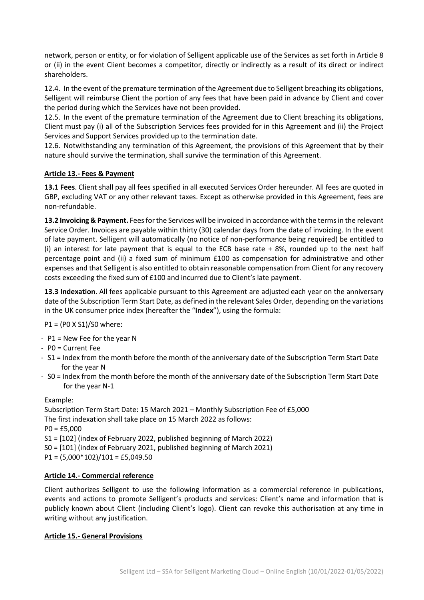network, person or entity, or for violation of Selligent applicable use of the Services as set forth in Article 8 or (ii) in the event Client becomes a competitor, directly or indirectly as a result of its direct or indirect shareholders.

12.4. In the event of the premature termination of the Agreement due to Selligent breaching its obligations, Selligent will reimburse Client the portion of any fees that have been paid in advance by Client and cover the period during which the Services have not been provided.

12.5. In the event of the premature termination of the Agreement due to Client breaching its obligations, Client must pay (i) all of the Subscription Services fees provided for in this Agreement and (ii) the Project Services and Support Services provided up to the termination date.

12.6. Notwithstanding any termination of this Agreement, the provisions of this Agreement that by their nature should survive the termination, shall survive the termination of this Agreement.

# **Article 13.- Fees & Payment**

**13.1 Fees**. Client shall pay all fees specified in all executed Services Order hereunder. All fees are quoted in GBP, excluding VAT or any other relevant taxes. Except as otherwise provided in this Agreement, fees are non-refundable.

**13.2 Invoicing & Payment.** Fees for the Services will be invoiced in accordance with the terms in the relevant Service Order. Invoices are payable within thirty (30) calendar days from the date of invoicing. In the event of late payment. Selligent will automatically (no notice of non-performance being required) be entitled to (i) an interest for late payment that is equal to the ECB base rate + 8%, rounded up to the next half percentage point and (ii) a fixed sum of minimum £100 as compensation for administrative and other expenses and that Selligent is also entitled to obtain reasonable compensation from Client for any recovery costs exceeding the fixed sum of £100 and incurred due to Client's late payment.

**13.3 Indexation**. All fees applicable pursuant to this Agreement are adjusted each year on the anniversary date of the Subscription Term Start Date, as defined in the relevant Sales Order, depending on the variations in the UK consumer price index (hereafter the "**Index**"), using the formula:

P1 = (P0 X S1)/S0 where:

- P1 = New Fee for the year N
- P0 = Current Fee
- S1 = Index from the month before the month of the anniversary date of the Subscription Term Start Date for the year N
- S0 = Index from the month before the month of the anniversary date of the Subscription Term Start Date for the year N-1

Example:

Subscription Term Start Date: 15 March 2021 – Monthly Subscription Fee of £5,000 The first indexation shall take place on 15 March 2022 as follows:  $PO = £5,000$ S1 = [102] (index of February 2022, published beginning of March 2022) S0 = [101] (index of February 2021, published beginning of March 2021)  $P1 = (5,000*102)/101 = £5,049.50$ 

# **Article 14.- Commercial reference**

Client authorizes Selligent to use the following information as a commercial reference in publications, events and actions to promote Selligent's products and services: Client's name and information that is publicly known about Client (including Client's logo). Client can revoke this authorisation at any time in writing without any justification.

# **Article 15.- General Provisions**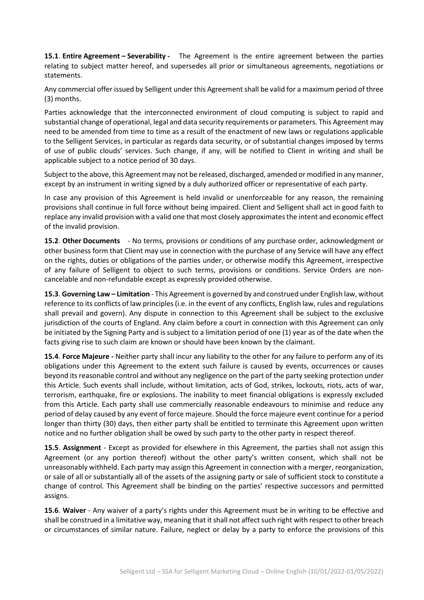**15.1**. **Entire Agreement – Severability -** The Agreement is the entire agreement between the parties relating to subject matter hereof, and supersedes all prior or simultaneous agreements, negotiations or statements.

Any commercial offer issued by Selligent under this Agreement shall be valid for a maximum period of three (3) months.

Parties acknowledge that the interconnected environment of cloud computing is subject to rapid and substantial change of operational, legal and data security requirements or parameters. This Agreement may need to be amended from time to time as a result of the enactment of new laws or regulations applicable to the Selligent Services, in particular as regards data security, or of substantial changes imposed by terms of use of public clouds' services. Such change, if any, will be notified to Client in writing and shall be applicable subject to a notice period of 30 days.

Subject to the above, this Agreement may not be released, discharged, amended or modified in any manner, except by an instrument in writing signed by a duly authorized officer or representative of each party.

In case any provision of this Agreement is held invalid or unenforceable for any reason, the remaining provisions shall continue in full force without being impaired. Client and Selligent shall act in good faith to replace any invalid provision with a valid one that most closely approximates the intent and economic effect of the invalid provision.

**15.2**. **Other Documents** - No terms, provisions or conditions of any purchase order, acknowledgment or other business form that Client may use in connection with the purchase of any Service will have any effect on the rights, duties or obligations of the parties under, or otherwise modify this Agreement, irrespective of any failure of Selligent to object to such terms, provisions or conditions. Service Orders are noncancelable and non-refundable except as expressly provided otherwise.

**15.3**. **Governing Law – Limitation** - This Agreement is governed by and construed under English law, without reference to its conflicts of law principles (i.e. in the event of any conflicts, English law, rules and regulations shall prevail and govern). Any dispute in connection to this Agreement shall be subject to the exclusive jurisdiction of the courts of England. Any claim before a court in connection with this Agreement can only be initiated by the Signing Party and is subject to a limitation period of one (1) year as of the date when the facts giving rise to such claim are known or should have been known by the claimant.

**15.4**. **Force Majeure -** Neither party shall incur any liability to the other for any failure to perform any of its obligations under this Agreement to the extent such failure is caused by events, occurrences or causes beyond its reasonable control and without any negligence on the part of the party seeking protection under this Article. Such events shall include, without limitation, acts of God, strikes, lockouts, riots, acts of war, terrorism, earthquake, fire or explosions. The inability to meet financial obligations is expressly excluded from this Article. Each party shall use commercially reasonable endeavours to minimise and reduce any period of delay caused by any event of force majeure. Should the force majeure event continue for a period longer than thirty (30) days, then either party shall be entitled to terminate this Agreement upon written notice and no further obligation shall be owed by such party to the other party in respect thereof.

**15.5**. **Assignment** - Except as provided for elsewhere in this Agreement, the parties shall not assign this Agreement (or any portion thereof) without the other party's written consent, which shall not be unreasonably withheld. Each party may assign this Agreement in connection with a merger, reorganization, or sale of all or substantially all of the assets of the assigning party or sale of sufficient stock to constitute a change of control. This Agreement shall be binding on the parties' respective successors and permitted assigns.

**15.6**. **Waiver** - Any waiver of a party's rights under this Agreement must be in writing to be effective and shall be construed in a limitative way, meaning that it shall not affect such right with respect to other breach or circumstances of similar nature. Failure, neglect or delay by a party to enforce the provisions of this